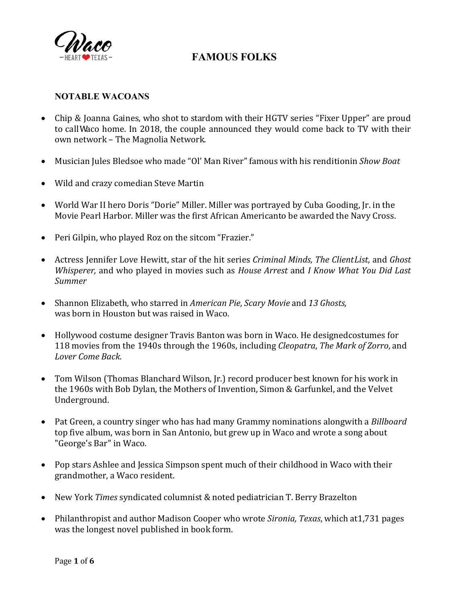

### **NOTABLE WACOANS**

- Chip & Joanna Gaines, who shot to stardom with their HGTV series "Fixer Upper" are proud to callWaco home. In 2018, the couple announced they would come back to TV with their own network – The Magnolia Network.
- Musician Jules Bledsoe who made "Ol' Man River" famous with his renditionin *Show Boat*
- Wild and crazy comedian Steve Martin
- World War II hero Doris "Dorie" Miller. Miller was portrayed by Cuba Gooding, Jr. in the Movie Pearl Harbor. Miller was the first African Americanto be awarded the Navy Cross.
- Peri Gilpin, who played Roz on the sitcom "Frazier."
- Actress Jennifer Love Hewitt, star of the hit series *Criminal Minds, The ClientList*, and *Ghost Whisperer,* and who played in movies such as *House Arrest* and *I Know What You Did Last Summer*
- Shannon Elizabeth, who starred in *American Pie*, *Scary Movie* and *13 Ghosts,* was born in Houston but was raised in Waco.
- Hollywood costume designer Travis Banton was born in Waco. He designedcostumes for 118 movies from the 1940s through the 1960s, including *Cleopatra*, *The Mark of Zorro*, and *Lover Come Back*.
- Tom Wilson (Thomas Blanchard Wilson, [r.] record producer best known for his work in the 1960s with Bob Dylan, the Mothers of Invention, Simon & Garfunkel, and the Velvet Underground.
- Pat Green, a country singer who has had many Grammy nominations alongwith a *Billboard*  top five album, was born in San Antonio, but grew up in Waco and wrote a song about "George's Bar" in Waco.
- Pop stars Ashlee and Jessica Simpson spent much of their childhood in Waco with their grandmother, a Waco resident.
- New York *Times* syndicated columnist & noted pediatrician T. Berry Brazelton
- Philanthropist and author Madison Cooper who wrote *Sironia, Texas*, which at1,731 pages was the longest novel published in book form.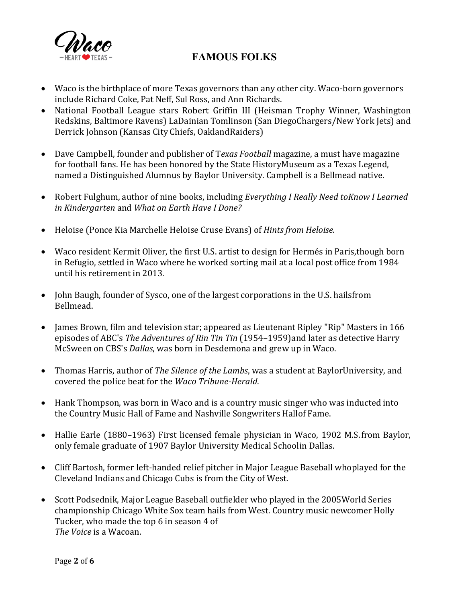

- Waco is the birthplace of more Texas governors than any other city. Waco-born governors include Richard Coke, Pat Neff, Sul Ross, and Ann Richards.
- National Football League stars Robert Griffin III (Heisman Trophy Winner, Washington Redskins, Baltimore Ravens) LaDainian Tomlinson (San DiegoChargers/New York Jets) and Derrick Johnson (Kansas City Chiefs, OaklandRaiders)
- Dave Campbell, founder and publisher of T*exas Football* magazine, a must have magazine for football fans. He has been honored by the State HistoryMuseum as a Texas Legend, named a Distinguished Alumnus by Baylor University. Campbell is a Bellmead native.
- Robert Fulghum, author of nine books, including *Everything I Really Need toKnow I Learned in Kindergarten* and *What on Earth Have I Done?*
- Heloise (Ponce Kia Marchelle Heloise Cruse Evans) of *Hints from Heloise.*
- Waco resident Kermit Oliver, the first U.S. artist to design for Hermés in Paris,though born in Refugio, settled in Waco where he worked sorting mail at a local post office from 1984 until his retirement in 2013.
- John Baugh, founder of Sysco, one of the largest corporations in the U.S. hailsfrom Bellmead.
- James Brown, film and television star; appeared as [Lieutenant R](http://en.wikipedia.org/wiki/Lieutenant)ipley "Rip" Masters in 166 episodes of [ABC](http://en.wikipedia.org/wiki/American_Broadcasting_Company)'s *[The Adventures of Rin Tin Tin](http://en.wikipedia.org/wiki/The_Adventures_of_Rin_Tin_Tin)* (1954–1959)and later as detective Harry McSween on [CBS](http://en.wikipedia.org/wiki/CBS)'s *[Dallas](http://en.wikipedia.org/wiki/Dallas_(1978_TV_series))*, was born in Desdemona and grew up in Waco.
- [Thomas H](http://en.wikipedia.org/wiki/Baylor_University)arris, author of *[The Silence of the Lambs](http://en.wikipedia.org/wiki/The_Silence_of_the_Lambs_(novel))*, was a student at BaylorUniversity, and covered the police beat for the *Waco Tribune-Herald*.
- Hank Thompson, was born in Waco and is a [country](http://en.wikipedia.org/wiki/Country_music) [music singer who was](http://en.wikipedia.org/wiki/Nashville_Songwriters_Hall_of_Fame) [inducted](http://en.wikipedia.org/wiki/Nashville_Songwriters_Hall_of_Fame) into the [Country](http://en.wikipedia.org/wiki/Country_Music_Hall_of_Fame_and_Museum) Music Hall of Fame and Nashville Songwriters Hallof Fame.
- Hallie Earle (1880–1963) First licensed female physician in Waco, 1902 M.S.from Baylor, only female graduate of 1907 Baylor University Medical Schoolin Dallas.
- Cliff Bartosh, former [left-handed](http://en.wikipedia.org/wiki/Left-handed) [relief pitcher i](http://en.wikipedia.org/wiki/Relief_pitcher)n [Major League Baseball w](http://en.wikipedia.org/wiki/Major_League_Baseball)hoplayed for the [Cleveland](http://en.wikipedia.org/wiki/Cleveland_Indians) Indians and [Chicago Cubs i](http://en.wikipedia.org/wiki/Chicago_Cubs)s from the City of West.
- [Scott](http://en.wikipedia.org/wiki/2005_World_Series) Podsednik, Major League [Baseball](http://en.wikipedia.org/wiki/Major_League_Baseball) [outfielder](http://en.wikipedia.org/wiki/Outfielder) who played in the 2005World Series championship [Chicago](http://en.wikipedia.org/wiki/Chicago_White_Sox) White Sox team hails from West. Country music newcomer Holly Tucker, who made the top 6 in season 4 of *The Voice* is a Wacoan.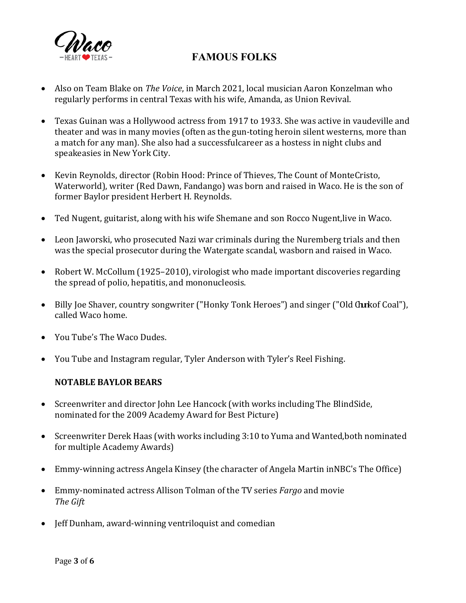

- Also on Team Blake on *The Voice*, in March 2021, local musician Aaron Konzelman who regularly performs in central Texas with his wife, Amanda, as Union Revival.
- Texas Guinan was a Hollywood actress from 1917 to 1933. She was active in vaudeville and theater and was in many movies (often as the gun-toting heroin silent westerns, more than a match for any man). She also had a successfulcareer as a hostess in night clubs and speakeasies in New York City.
- Kevin Reynolds, director (Robin Hood: Prince of Thieves, The Count of MonteCristo, Waterworld), writer (Red Dawn, Fandango) was born and raised in Waco. He is the son of former Baylor president Herbert H. Reynolds.
- Ted Nugent, guitarist, along with his wife Shemane and son Rocco Nugent,live in Waco.
- Leon Jaworski, who prosecuted Nazi war criminals during the Nuremberg trials and then was the special prosecutor during the Watergate scandal, wasborn and raised in Waco.
- Robert W. McCollum (1925–2010), virologist who made important discoveries regarding the spread of polio, hepatitis, and mononucleosis.
- Billy Joe Shaver, country songwriter ("Honky Tonk Heroes") and singer ("Old Churkof Coal"), called Waco home.
- You Tube's The Waco Dudes.
- You Tube and Instagram regular, Tyler Anderson with Tyler's Reel Fishing.

#### **NOTABLE BAYLOR BEARS**

- Screenwriter and director John Lee Hancock (with works including The BlindSide, nominated for the 2009 Academy Award for Best Picture)
- Screenwriter Derek Haas (with works including 3:10 to Yuma and Wanted,both nominated for multiple Academy Awards)
- Emmy-winning actress Angela Kinsey (the character of Angela Martin inNBC's The Office)
- Emmy-nominated actress Allison Tolman of the TV series *Fargo* and movie *The Gift*
- Jeff Dunham, award-winning ventriloquist and comedian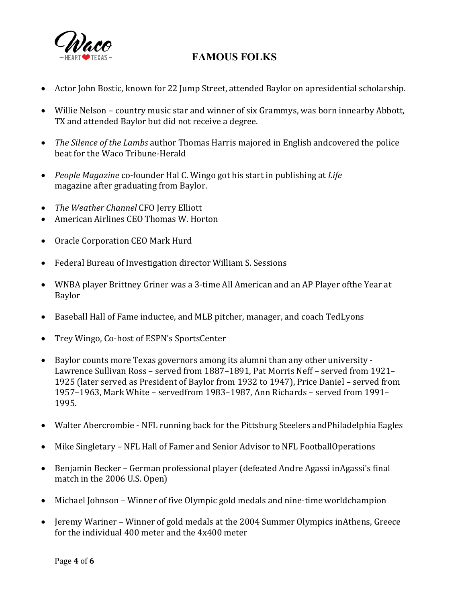

- Actor John Bostic, known for 22 Jump Street, attended Baylor on apresidential scholarship.
- Willie Nelson country music star and winner of six Grammys, was born innearby Abbott, TX and attended Baylor but did not receive a degree.
- *The Silence of the Lambs* author Thomas Harris majored in English andcovered the police beat for the Waco Tribune-Herald
- *People Magazine* co-founder Hal C. Wingo got his start in publishing at *Life* magazine after graduating from Baylor.
- *The Weather Channel* CFO Jerry Elliott
- American Airlines CEO Thomas W. Horton
- Oracle Corporation CEO Mark Hurd
- Federal Bureau of Investigation director William S. Sessions
- WNBA player Brittney Griner was a 3-time All American and an AP Player ofthe Year at Baylor
- Baseball Hall of Fame inductee, and MLB pitcher, manager, and coach TedLyons
- Trey Wingo, Co-host of ESPN's SportsCenter
- Baylor counts more Texas governors among its alumni than any other university Lawrence Sullivan Ross – served from 1887–1891, Pat Morris Neff – served from 1921– 1925 (later served as President of Baylor from 1932 to 1947), Price Daniel – served from 1957–1963, Mark White – servedfrom 1983–1987, Ann Richards – served from 1991– 1995.
- Walter Abercrombie NFL running back for the Pittsburg Steelers and Philadelphia Eagles
- Mike Singletary NFL Hall of Famer and Senior Advisor to NFL FootballOperations
- Benjamin Becker German professional player (defeated Andre Agassi inAgassi's final match in the 2006 U.S. Open)
- Michael Johnson Winner of five Olympic gold medals and nine-time worldchampion
- Jeremy Wariner Winner of gold medals at the 2004 Summer Olympics inAthens, Greece for the individual 400 meter and the 4x400 meter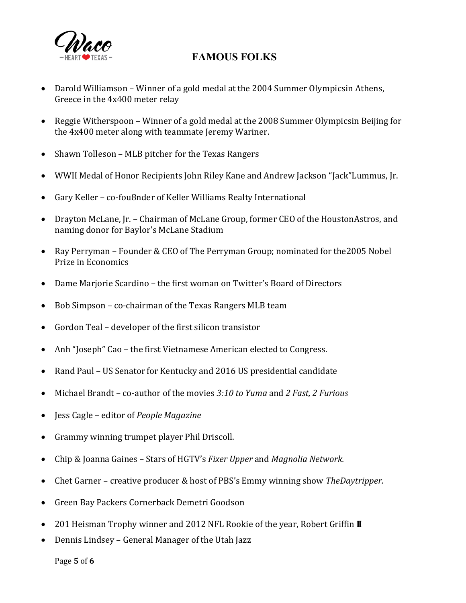

- Darold Williamson Winner of a gold medal at the 2004 Summer Olympicsin Athens, Greece in the 4x400 meter relay
- Reggie Witherspoon Winner of a gold medal at the 2008 Summer Olympicsin Beijing for the 4x400 meter along with teammate Jeremy Wariner.
- Shawn Tolleson MLB pitcher for the Texas Rangers
- WWII Medal of Honor Recipients John Riley Kane and Andrew Jackson "Jack"Lummus, Jr.
- Gary Keller co-fou8nder of Keller Williams Realty International
- Drayton McLane, Jr. Chairman of McLane Group, former CEO of the HoustonAstros, and naming donor for Baylor's McLane Stadium
- Ray Perryman Founder & CEO of The Perryman Group; nominated for the2005 Nobel Prize in Economics
- Dame Marjorie Scardino the first woman on Twitter's Board of Directors
- Bob Simpson co-chairman of the Texas Rangers MLB team
- Gordon Teal developer of the first silicon transistor
- Anh "Joseph" Cao the first Vietnamese American elected to Congress.
- Rand Paul US Senator for Kentucky and 2016 US presidential candidate
- Michael Brandt co-author of the movies *3:10 to Yuma* and *2 Fast, 2 Furious*
- Jess Cagle editor of *People Magazine*
- Grammy winning trumpet player Phil Driscoll.
- Chip & Joanna Gaines Stars of HGTV's *Fixer Upper* and *Magnolia Network.*
- Chet Garner creative producer & host of PBS's Emmy winning show *TheDaytripper.*
- Green Bay Packers Cornerback Demetri Goodson
- 201 Heisman Trophy winner and 2012 NFL Rookie of the year, Robert Griffin  $\blacksquare$
- Dennis Lindsey General Manager of the Utah Jazz

Page **5** of **6**